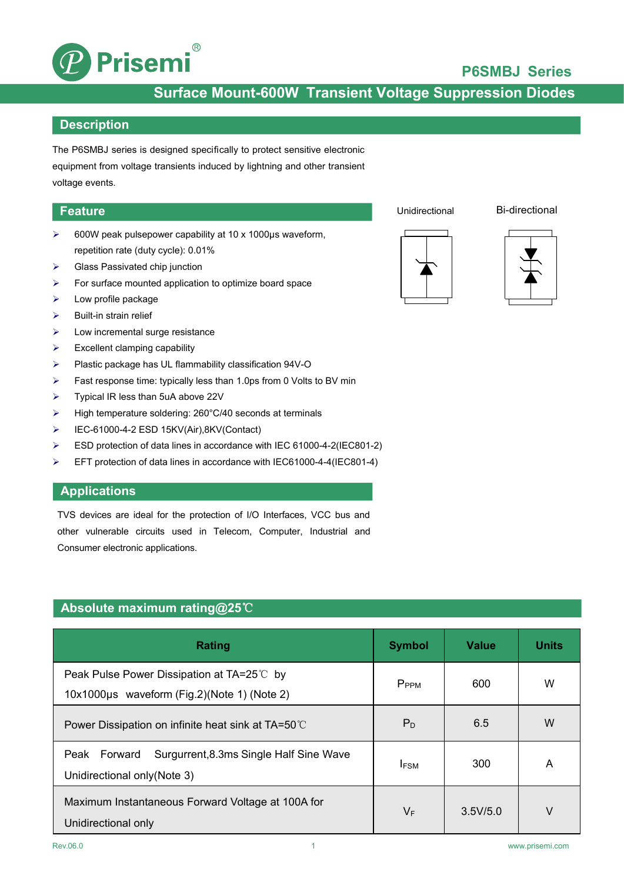

## **P6SMBJ Series**

## **Surface Mount-600W Transient Voltage Suppression Diodes**

#### **Description**

The P6SMBJ series is designed specifically to protect sensitive electronic equipment from voltage transients induced by lightning and other transient voltage events.

#### **Feature**

- 600W peak pulsepower capability at 10 x 1000μs waveform, repetition rate (duty cycle): 0.01%
- $\triangleright$  Glass Passivated chip junction
- $\triangleright$  For surface mounted application to optimize board space
- $\blacktriangleright$  Low profile package
- $\triangleright$  Built-in strain relief
- $\triangleright$  Low incremental surge resistance
- $\triangleright$  Excellent clamping capability
- Plastic package has UL flammability classification 94V-O
- $\triangleright$  Fast response time: typically less than 1.0ps from 0 Volts to BV min
- $\triangleright$  Typical IR less than 5uA above 22V
- High temperature soldering: 260°C/40 seconds at terminals
- IEC-61000-4-2 ESD 15KV(Air),8KV(Contact)
- ESD protection of data lines in accordance with IEC 61000-4-2(IEC801-2)
- EFT protection of data lines in accordance with IEC61000-4-4(IEC801-4)

#### **Applications**

TVS devices are ideal for the protection of I/O Interfaces, VCC bus and other vulnerable circuits used in Telecom, Computer, Industrial and Consumer electronic applications.

## **Absolute maximum rating@25**℃

| Rating                                                                                    | <b>Symbol</b>    | <b>Value</b> | <b>Units</b> |
|-------------------------------------------------------------------------------------------|------------------|--------------|--------------|
| Peak Pulse Power Dissipation at TA=25℃ by<br>10x1000µs waveform (Fig.2)(Note 1) (Note 2)  | P <sub>PPM</sub> | 600          | W            |
| Power Dissipation on infinite heat sink at TA=50°C                                        | $P_D$            | 6.5          | W            |
| Surgurrent, 8.3ms Single Half Sine Wave<br>Forward<br>Peak<br>Unidirectional only(Note 3) | <b>IFSM</b>      | 300          | A            |
| Maximum Instantaneous Forward Voltage at 100A for<br>Unidirectional only                  | $V_F$            | 3.5V/5.0     | V            |

Unidirectional Bi-directional



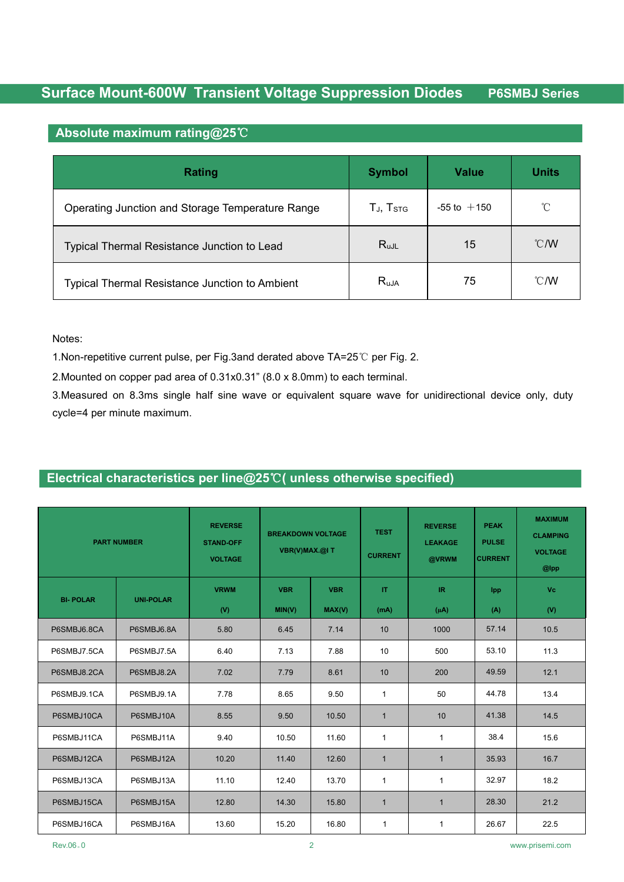### **Absolute maximum rating@25**℃

| Rating                                           | <b>Symbol</b>                | <b>Value</b>    | <b>Units</b>  |
|--------------------------------------------------|------------------------------|-----------------|---------------|
| Operating Junction and Storage Temperature Range | $T_{J}$ , $T_{\mathrm{STG}}$ | $-55$ to $+150$ | $^{\circ}$ C  |
| Typical Thermal Resistance Junction to Lead      | $R_{uJL}$                    | 15              | $\degree$ C/W |
| Typical Thermal Resistance Junction to Ambient   | $R_{uJA}$                    | 75              | $\degree$ C/W |

Notes:

1.Non-repetitive current pulse, per Fig.3and derated above TA=25℃ per Fig. 2.

2.Mounted on copper pad area of 0.31x0.31" (8.0 x 8.0mm) to each terminal.

3.Measured on 8.3ms single half sine wave or equivalent square wave for unidirectional device only, duty cycle=4 per minute maximum.

## **Electrical characteristics per line@25**℃**( unless otherwise specified)**

|                 | <b>PART NUMBER</b> | <b>REVERSE</b><br><b>STAND-OFF</b><br><b>VOLTAGE</b> | <b>BREAKDOWN VOLTAGE</b><br>VBR(V)MAX.@IT |                      | <b>TEST</b><br><b>CURRENT</b> | <b>REVERSE</b><br><b>LEAKAGE</b><br>@VRWM      | <b>PEAK</b><br><b>PULSE</b><br><b>CURRENT</b> | <b>MAXIMUM</b><br><b>CLAMPING</b><br><b>VOLTAGE</b><br>@lpp |
|-----------------|--------------------|------------------------------------------------------|-------------------------------------------|----------------------|-------------------------------|------------------------------------------------|-----------------------------------------------|-------------------------------------------------------------|
| <b>BI-POLAR</b> | <b>UNI-POLAR</b>   | <b>VRWM</b><br>(V)                                   | <b>VBR</b><br>MIN(V)                      | <b>VBR</b><br>MAX(V) | $\Pi$<br>(mA)                 | $\ensuremath{\mathsf{IR}}\xspace$<br>$(\mu A)$ | Ipp<br>(A)                                    | <b>Vc</b><br>(V)                                            |
| P6SMBJ6.8CA     | P6SMBJ6.8A         | 5.80                                                 | 6.45                                      | 7.14                 | 10                            | 1000                                           | 57.14                                         | 10.5                                                        |
| P6SMBJ7.5CA     | P6SMBJ7.5A         | 6.40                                                 | 7.13                                      | 7.88                 | 10                            | 500                                            | 53.10                                         | 11.3                                                        |
| P6SMBJ8.2CA     | P6SMBJ8.2A         | 7.02                                                 | 7.79                                      | 8.61                 | 10                            | 200                                            | 49.59                                         | 12.1                                                        |
| P6SMBJ9.1CA     | P6SMBJ9.1A         | 7.78                                                 | 8.65                                      | 9.50                 | $\mathbf{1}$                  | 50                                             | 44.78                                         | 13.4                                                        |
| P6SMBJ10CA      | P6SMBJ10A          | 8.55                                                 | 9.50                                      | 10.50                | $\overline{1}$                | 10                                             | 41.38                                         | 14.5                                                        |
| P6SMBJ11CA      | P6SMBJ11A          | 9.40                                                 | 10.50                                     | 11.60                | $\mathbf{1}$                  | $\mathbf{1}$                                   | 38.4                                          | 15.6                                                        |
| P6SMBJ12CA      | P6SMBJ12A          | 10.20                                                | 11.40                                     | 12.60                | $\overline{1}$                | $\mathbf{1}$                                   | 35.93                                         | 16.7                                                        |
| P6SMBJ13CA      | P6SMBJ13A          | 11.10                                                | 12.40                                     | 13.70                | $\mathbf{1}$                  | $\mathbf{1}$                                   | 32.97                                         | 18.2                                                        |
| P6SMBJ15CA      | P6SMBJ15A          | 12.80                                                | 14.30                                     | 15.80                | $\overline{1}$                | $\mathbf{1}$                                   | 28.30                                         | 21.2                                                        |
| P6SMBJ16CA      | P6SMBJ16A          | 13.60                                                | 15.20                                     | 16.80                | $\overline{1}$                | $\mathbf{1}$                                   | 26.67                                         | 22.5                                                        |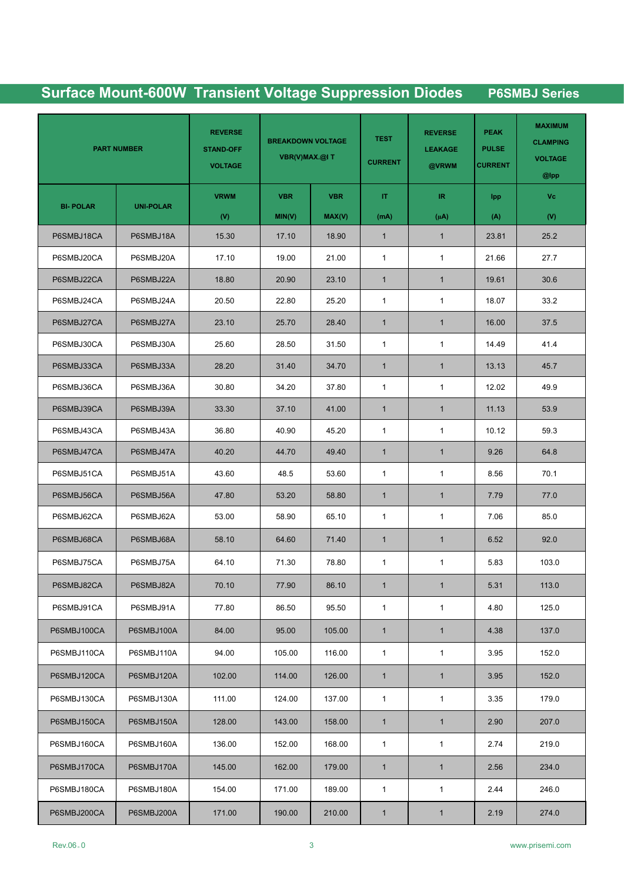|                 | <b>PART NUMBER</b> | <b>REVERSE</b><br><b>STAND-OFF</b><br><b>VOLTAGE</b> | <b>BREAKDOWN VOLTAGE</b><br>VBR(V)MAX.@IT |            | <b>TEST</b><br><b>CURRENT</b> | <b>REVERSE</b><br><b>LEAKAGE</b><br>@VRWM | <b>PEAK</b><br><b>PULSE</b><br><b>CURRENT</b> | <b>MAXIMUM</b><br><b>CLAMPING</b><br><b>VOLTAGE</b><br>$@$ lpp |
|-----------------|--------------------|------------------------------------------------------|-------------------------------------------|------------|-------------------------------|-------------------------------------------|-----------------------------------------------|----------------------------------------------------------------|
|                 |                    | <b>VRWM</b>                                          | <b>VBR</b>                                | <b>VBR</b> | IT.                           | IR.                                       | lpp.                                          | Vc                                                             |
| <b>BI-POLAR</b> | <b>UNI-POLAR</b>   | (V)                                                  | MIN(V)                                    | MAX(V)     | (mA)                          | $(\mu A)$                                 | (A)                                           | (V)                                                            |
| P6SMBJ18CA      | P6SMBJ18A          | 15.30                                                | 17.10                                     | 18.90      | $\mathbf{1}$                  | $\mathbf{1}$                              | 23.81                                         | 25.2                                                           |
| P6SMBJ20CA      | P6SMBJ20A          | 17.10                                                | 19.00                                     | 21.00      | $\mathbf{1}$                  | $\mathbf{1}$                              | 21.66                                         | 27.7                                                           |
| P6SMBJ22CA      | P6SMBJ22A          | 18.80                                                | 20.90                                     | 23.10      | $\mathbf{1}$                  | $\mathbf{1}$                              | 19.61                                         | 30.6                                                           |
| P6SMBJ24CA      | P6SMBJ24A          | 20.50                                                | 22.80                                     | 25.20      | $\mathbf{1}$                  | $\mathbf{1}$                              | 18.07                                         | 33.2                                                           |
| P6SMBJ27CA      | P6SMBJ27A          | 23.10                                                | 25.70                                     | 28.40      | $\mathbf{1}$                  | $\mathbf{1}$                              | 16.00                                         | 37.5                                                           |
| P6SMBJ30CA      | P6SMBJ30A          | 25.60                                                | 28.50                                     | 31.50      | $\mathbf{1}$                  | $\mathbf{1}$                              | 14.49                                         | 41.4                                                           |
| P6SMBJ33CA      | P6SMBJ33A          | 28.20                                                | 31.40                                     | 34.70      | $\mathbf{1}$                  | $\mathbf{1}$                              | 13.13                                         | 45.7                                                           |
| P6SMBJ36CA      | P6SMBJ36A          | 30.80                                                | 34.20                                     | 37.80      | $\mathbf{1}$                  | $\mathbf{1}$                              | 12.02                                         | 49.9                                                           |
| P6SMBJ39CA      | P6SMBJ39A          | 33.30                                                | 37.10                                     | 41.00      | $\mathbf{1}$                  | $\mathbf{1}$                              | 11.13                                         | 53.9                                                           |
| P6SMBJ43CA      | P6SMBJ43A          | 36.80                                                | 40.90                                     | 45.20      | $\mathbf{1}$                  | $\mathbf{1}$                              | 10.12                                         | 59.3                                                           |
| P6SMBJ47CA      | P6SMBJ47A          | 40.20                                                | 44.70                                     | 49.40      | $\mathbf{1}$                  | $\mathbf{1}$                              | 9.26                                          | 64.8                                                           |
| P6SMBJ51CA      | P6SMBJ51A          | 43.60                                                | 48.5                                      | 53.60      | $\mathbf{1}$                  | $\mathbf{1}$                              | 8.56                                          | 70.1                                                           |
| P6SMBJ56CA      | P6SMBJ56A          | 47.80                                                | 53.20                                     | 58.80      | $\mathbf{1}$                  | $\mathbf{1}$                              | 7.79                                          | 77.0                                                           |
| P6SMBJ62CA      | P6SMBJ62A          | 53.00                                                | 58.90                                     | 65.10      | $\mathbf{1}$                  | $\mathbf{1}$                              | 7.06                                          | 85.0                                                           |
| P6SMBJ68CA      | P6SMBJ68A          | 58.10                                                | 64.60                                     | 71.40      | $\mathbf{1}$                  | $\mathbf{1}$                              | 6.52                                          | 92.0                                                           |
| P6SMBJ75CA      | P6SMBJ75A          | 64.10                                                | 71.30                                     | 78.80      | $\mathbf{1}$                  | $\mathbf{1}$                              | 5.83                                          | 103.0                                                          |
| P6SMBJ82CA      | P6SMBJ82A          | 70.10                                                | 77.90                                     | 86.10      | $\mathbf{1}$                  | 1                                         | 5.31                                          | 113.0                                                          |
| P6SMBJ91CA      | P6SMBJ91A          | 77.80                                                | 86.50                                     | 95.50      | $\mathbf{1}$                  | $\mathbf{1}$                              | 4.80                                          | 125.0                                                          |
| P6SMBJ100CA     | P6SMBJ100A         | 84.00                                                | 95.00                                     | 105.00     | $\mathbf{1}$                  | $\mathbf{1}$                              | 4.38                                          | 137.0                                                          |
| P6SMBJ110CA     | P6SMBJ110A         | 94.00                                                | 105.00                                    | 116.00     | $\mathbf{1}$                  | $\mathbf{1}$                              | 3.95                                          | 152.0                                                          |
| P6SMBJ120CA     | P6SMBJ120A         | 102.00                                               | 114.00                                    | 126.00     | $\mathbf{1}$                  | $\mathbf{1}$                              | 3.95                                          | 152.0                                                          |
| P6SMBJ130CA     | P6SMBJ130A         | 111.00                                               | 124.00                                    | 137.00     | $\mathbf{1}$                  | $\mathbf{1}$                              | 3.35                                          | 179.0                                                          |
| P6SMBJ150CA     | P6SMBJ150A         | 128.00                                               | 143.00                                    | 158.00     | $\mathbf{1}$                  | $\mathbf{1}$                              | 2.90                                          | 207.0                                                          |
| P6SMBJ160CA     | P6SMBJ160A         | 136.00                                               | 152.00                                    | 168.00     | $\mathbf{1}$                  | $\mathbf{1}$                              | 2.74                                          | 219.0                                                          |
| P6SMBJ170CA     | P6SMBJ170A         | 145.00                                               | 162.00                                    | 179.00     | $\mathbf{1}$                  | $\mathbf{1}$                              | 2.56                                          | 234.0                                                          |
| P6SMBJ180CA     | P6SMBJ180A         | 154.00                                               | 171.00                                    | 189.00     | $\mathbf{1}$                  | $\mathbf{1}$                              | 2.44                                          | 246.0                                                          |
|                 |                    |                                                      |                                           |            |                               |                                           |                                               |                                                                |
| P6SMBJ200CA     | P6SMBJ200A         | 171.00                                               | 190.00                                    | 210.00     | $\mathbf{1}$                  | $\mathbf{1}$                              | 2.19                                          | 274.0                                                          |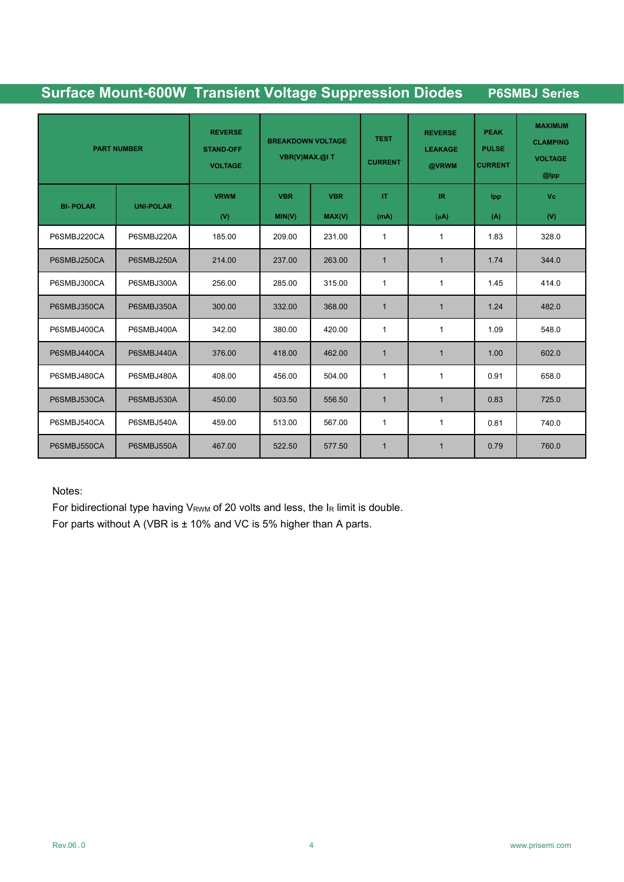|                 | <b>PART NUMBER</b> | <b>REVERSE</b><br><b>STAND-OFF</b><br><b>VOLTAGE</b> | <b>BREAKDOWN VOLTAGE</b><br>VBR(V)MAX.@IT |                      | <b>TEST</b><br><b>CURRENT</b> | <b>REVERSE</b><br><b>LEAKAGE</b><br>@VRWM      | <b>PEAK</b><br><b>PULSE</b><br><b>CURRENT</b> | <b>MAXIMUM</b><br><b>CLAMPING</b><br><b>VOLTAGE</b><br>@lpp |
|-----------------|--------------------|------------------------------------------------------|-------------------------------------------|----------------------|-------------------------------|------------------------------------------------|-----------------------------------------------|-------------------------------------------------------------|
| <b>BI-POLAR</b> | <b>UNI-POLAR</b>   | <b>VRWM</b><br>(V)                                   | <b>VBR</b><br>MIN(V)                      | <b>VBR</b><br>MAX(V) | $\mathbf T$<br>(mA)           | $\ensuremath{\mathsf{IR}}\xspace$<br>$(\mu A)$ | Ipp<br>(A)                                    | <b>Vc</b><br>(V)                                            |
| P6SMBJ220CA     | P6SMBJ220A         | 185.00                                               | 209.00                                    | 231.00               | $\mathbf{1}$                  | 1                                              | 1.83                                          | 328.0                                                       |
| P6SMBJ250CA     | P6SMBJ250A         | 214.00                                               | 237.00                                    | 263.00               | $\mathbf{1}$                  | $\mathbf{1}$                                   | 1.74                                          | 344.0                                                       |
| P6SMBJ300CA     | P6SMBJ300A         | 256.00                                               | 285.00                                    | 315.00               | $\mathbf{1}$                  | 1                                              | 1.45                                          | 414.0                                                       |
| P6SMBJ350CA     | P6SMBJ350A         | 300.00                                               | 332.00                                    | 368.00               | $\mathbf{1}$                  | $\mathbf{1}$                                   | 1.24                                          | 482.0                                                       |
| P6SMBJ400CA     | P6SMBJ400A         | 342.00                                               | 380.00                                    | 420.00               | $\mathbf{1}$                  | 1                                              | 1.09                                          | 548.0                                                       |
| P6SMBJ440CA     | P6SMBJ440A         | 376.00                                               | 418.00                                    | 462.00               | $\mathbf{1}$                  | $\mathbf{1}$                                   | 1.00                                          | 602.0                                                       |
| P6SMBJ480CA     | P6SMBJ480A         | 408.00                                               | 456.00                                    | 504.00               | $\mathbf{1}$                  | 1                                              | 0.91                                          | 658.0                                                       |
| P6SMBJ530CA     | P6SMBJ530A         | 450.00                                               | 503.50                                    | 556.50               | $\mathbf{1}$                  | $\mathbf{1}$                                   | 0.83                                          | 725.0                                                       |
| P6SMBJ540CA     | P6SMBJ540A         | 459.00                                               | 513.00                                    | 567.00               | $\mathbf{1}$                  | 1                                              | 0.81                                          | 740.0                                                       |
| P6SMBJ550CA     | P6SMBJ550A         | 467.00                                               | 522.50                                    | 577.50               | $\mathbf{1}$                  | $\mathbf{1}$                                   | 0.79                                          | 760.0                                                       |

Notes:

For bidirectional type having  $V_{RWM}$  of 20 volts and less, the  $I_R$  limit is double.

For parts without A (VBR is ± 10% and VC is 5% higher than A parts.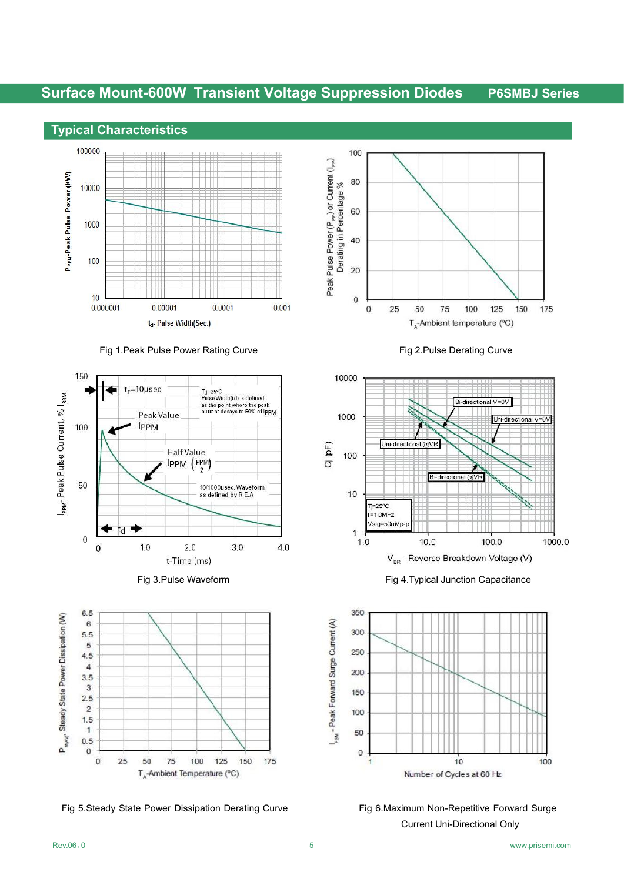

#### Fig 1. Peak Pulse Power Rating Curve Fig 2. Pulse Derating Curve

















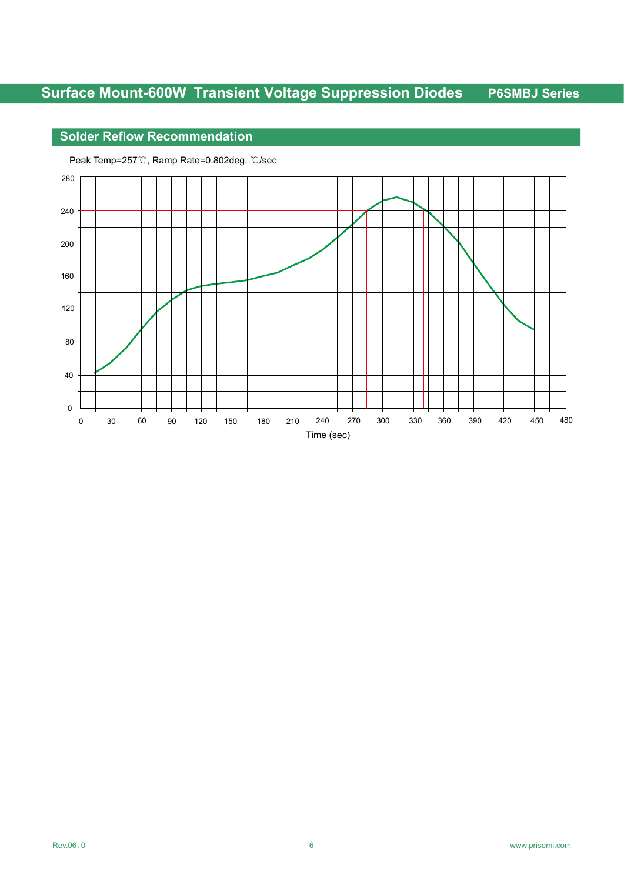## **Solder Reflow Recommendation**



Peak Temp=257℃, Ramp Rate=0.802deg. ℃/sec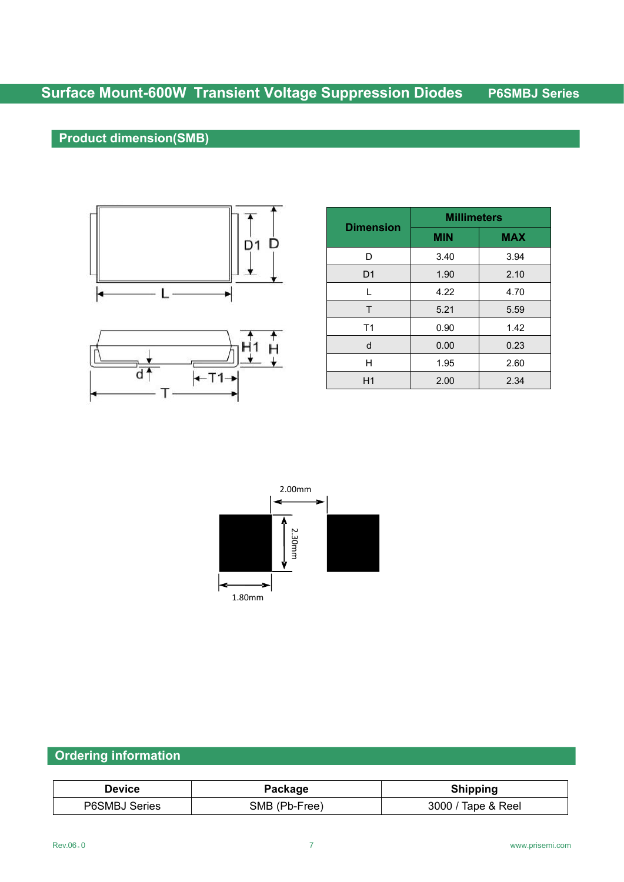## **Product dimension(SMB)**





|                  | <b>Millimeters</b> |            |  |  |  |  |
|------------------|--------------------|------------|--|--|--|--|
| <b>Dimension</b> | <b>MIN</b>         | <b>MAX</b> |  |  |  |  |
| D                | 3.40               | 3.94       |  |  |  |  |
| D <sub>1</sub>   | 1.90               | 2.10       |  |  |  |  |
| L                | 4.22               | 4.70       |  |  |  |  |
| T                | 5.21               | 5.59       |  |  |  |  |
| T <sub>1</sub>   | 0.90               | 1.42       |  |  |  |  |
| d                | 0.00               | 0.23       |  |  |  |  |
| Η                | 1.95               | 2.60       |  |  |  |  |
| H1               | 2.00               | 2.34       |  |  |  |  |



## **Ordering information**

| Jevice                  | ackage               | Shinnina               |
|-------------------------|----------------------|------------------------|
| <b>PASMR.</b><br>Series | Free<br>SMB (<br>.Dŀ | 3000<br>Reel<br>lane & |